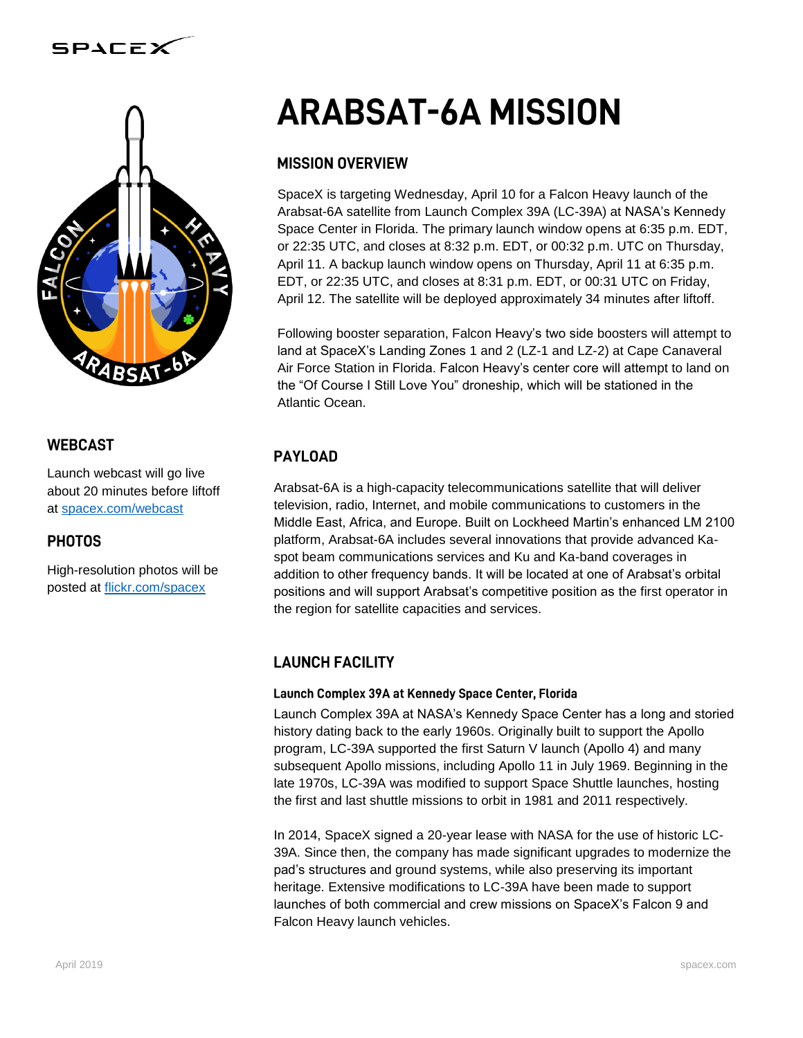

#### **WEBCAST**

Launch webcast will go live about 20 minutes before liftoff at [spacex.com/webcast](http://www.spacex.com/webcast)

#### **PHOTOS**

High-resolution photos will be posted at [flickr.com/spacex](http://www.flickr.com/spacex)

# **ARABSAT-6A MISSION**

### **MISSION OVERVIEW**

SpaceX is targeting Wednesday, April 10 for a Falcon Heavy launch of the Arabsat-6A satellite from Launch Complex 39A (LC-39A) at NASA's Kennedy Space Center in Florida. The primary launch window opens at 6:35 p.m. EDT, or 22:35 UTC, and closes at 8:32 p.m. EDT, or 00:32 p.m. UTC on Thursday, April 11. A backup launch window opens on Thursday, April 11 at 6:35 p.m. EDT, or 22:35 UTC, and closes at 8:31 p.m. EDT, or 00:31 UTC on Friday, April 12. The satellite will be deployed approximately 34 minutes after liftoff.

Following booster separation, Falcon Heavy's two side boosters will attempt to land at SpaceX's Landing Zones 1 and 2 (LZ-1 and LZ-2) at Cape Canaveral Air Force Station in Florida. Falcon Heavy's center core will attempt to land on the "Of Course I Still Love You" droneship, which will be stationed in the Atlantic Ocean.

## **PAYLOAD**

Arabsat-6A is a high-capacity telecommunications satellite that will deliver television, radio, Internet, and mobile communications to customers in the Middle East, Africa, and Europe. Built on Lockheed Martin's enhanced LM 2100 platform, Arabsat-6A includes several innovations that provide advanced Kaspot beam communications services and Ku and Ka-band coverages in addition to other frequency bands. It will be located at one of Arabsat's orbital positions and will support Arabsat's competitive position as the first operator in the region for satellite capacities and services.

### **LAUNCH FACILITY**

#### Launch Complex 39A at Kennedy Space Center, Florida

Launch Complex 39A at NASA's Kennedy Space Center has a long and storied history dating back to the early 1960s. Originally built to support the Apollo program, LC-39A supported the first Saturn V launch (Apollo 4) and many subsequent Apollo missions, including Apollo 11 in July 1969. Beginning in the late 1970s, LC-39A was modified to support Space Shuttle launches, hosting the first and last shuttle missions to orbit in 1981 and 2011 respectively.

In 2014, SpaceX signed a 20-year lease with NASA for the use of historic LC-39A. Since then, the company has made significant upgrades to modernize the pad's structures and ground systems, while also preserving its important heritage. Extensive modifications to LC-39A have been made to support launches of both commercial and crew missions on SpaceX's Falcon 9 and Falcon Heavy launch vehicles.